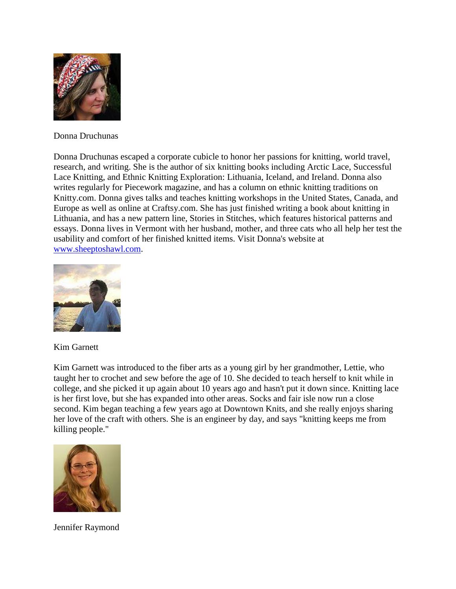

Donna Druchunas

Donna Druchunas escaped a corporate cubicle to honor her passions for knitting, world travel, research, and writing. She is the author of six knitting books including Arctic Lace, Successful Lace Knitting, and Ethnic Knitting Exploration: Lithuania, Iceland, and Ireland. Donna also writes regularly for Piecework magazine, and has a column on ethnic knitting traditions on Knitty.com. Donna gives talks and teaches knitting workshops in the United States, Canada, and Europe as well as online at Craftsy.com. She has just finished writing a book about knitting in Lithuania, and has a new pattern line, Stories in Stitches, which features historical patterns and essays. Donna lives in Vermont with her husband, mother, and three cats who all help her test the usability and comfort of her finished knitted items. Visit Donna's website at [www.sheeptoshawl.com.](http://www.sheeptoshawl.com/)



Kim Garnett

Kim Garnett was introduced to the fiber arts as a young girl by her grandmother, Lettie, who taught her to crochet and sew before the age of 10. She decided to teach herself to knit while in college, and she picked it up again about 10 years ago and hasn't put it down since. Knitting lace is her first love, but she has expanded into other areas. Socks and fair isle now run a close second. Kim began teaching a few years ago at Downtown Knits, and she really enjoys sharing her love of the craft with others. She is an engineer by day, and says "knitting keeps me from killing people."



Jennifer Raymond